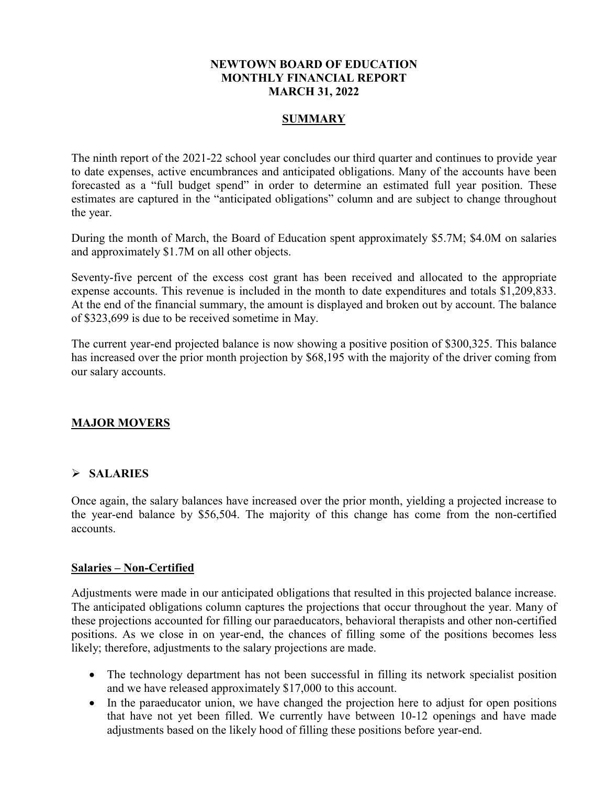#### **NEWTOWN BOARD OF EDUCATION MONTHLY FINANCIAL REPORT MARCH 31, 2022**

### **SUMMARY**

The ninth report of the 2021-22 school year concludes our third quarter and continues to provide year to date expenses, active encumbrances and anticipated obligations. Many of the accounts have been forecasted as a "full budget spend" in order to determine an estimated full year position. These estimates are captured in the "anticipated obligations" column and are subject to change throughout the year.

During the month of March, the Board of Education spent approximately \$5.7M; \$4.0M on salaries and approximately \$1.7M on all other objects.

Seventy-five percent of the excess cost grant has been received and allocated to the appropriate expense accounts. This revenue is included in the month to date expenditures and totals \$1,209,833. At the end of the financial summary, the amount is displayed and broken out by account. The balance of \$323,699 is due to be received sometime in May.

The current year-end projected balance is now showing a positive position of \$300,325. This balance has increased over the prior month projection by \$68,195 with the majority of the driver coming from our salary accounts.

### **MAJOR MOVERS**

#### **SALARIES**

Once again, the salary balances have increased over the prior month, yielding a projected increase to the year-end balance by \$56,504. The majority of this change has come from the non-certified accounts.

#### **Salaries – Non-Certified**

Adjustments were made in our anticipated obligations that resulted in this projected balance increase. The anticipated obligations column captures the projections that occur throughout the year. Many of these projections accounted for filling our paraeducators, behavioral therapists and other non-certified positions. As we close in on year-end, the chances of filling some of the positions becomes less likely; therefore, adjustments to the salary projections are made.

- The technology department has not been successful in filling its network specialist position and we have released approximately \$17,000 to this account.
- In the paraeducator union, we have changed the projection here to adjust for open positions that have not yet been filled. We currently have between 10-12 openings and have made adjustments based on the likely hood of filling these positions before year-end.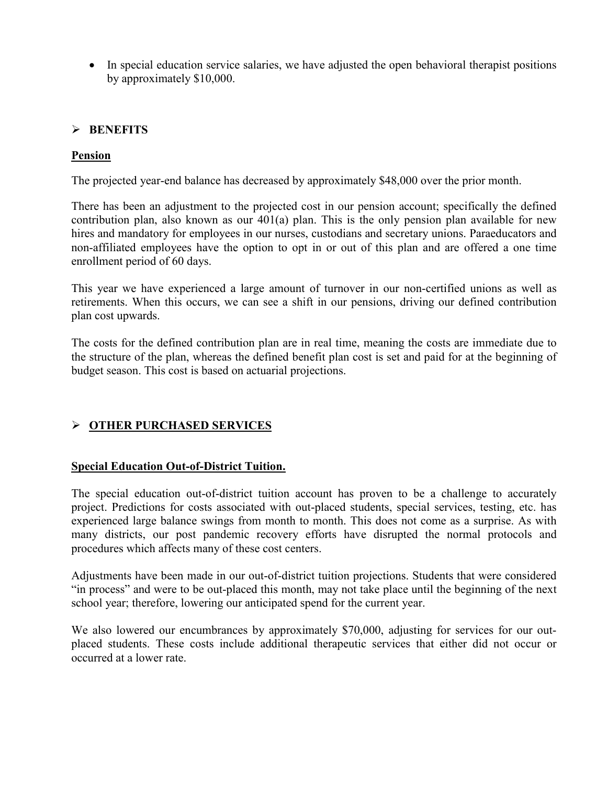• In special education service salaries, we have adjusted the open behavioral therapist positions by approximately \$10,000.

### **BENEFITS**

### **Pension**

The projected year-end balance has decreased by approximately \$48,000 over the prior month.

There has been an adjustment to the projected cost in our pension account; specifically the defined contribution plan, also known as our 401(a) plan. This is the only pension plan available for new hires and mandatory for employees in our nurses, custodians and secretary unions. Paraeducators and non-affiliated employees have the option to opt in or out of this plan and are offered a one time enrollment period of 60 days.

This year we have experienced a large amount of turnover in our non-certified unions as well as retirements. When this occurs, we can see a shift in our pensions, driving our defined contribution plan cost upwards.

The costs for the defined contribution plan are in real time, meaning the costs are immediate due to the structure of the plan, whereas the defined benefit plan cost is set and paid for at the beginning of budget season. This cost is based on actuarial projections.

### **OTHER PURCHASED SERVICES**

#### **Special Education Out-of-District Tuition.**

The special education out-of-district tuition account has proven to be a challenge to accurately project. Predictions for costs associated with out-placed students, special services, testing, etc. has experienced large balance swings from month to month. This does not come as a surprise. As with many districts, our post pandemic recovery efforts have disrupted the normal protocols and procedures which affects many of these cost centers.

Adjustments have been made in our out-of-district tuition projections. Students that were considered "in process" and were to be out-placed this month, may not take place until the beginning of the next school year; therefore, lowering our anticipated spend for the current year.

We also lowered our encumbrances by approximately \$70,000, adjusting for services for our outplaced students. These costs include additional therapeutic services that either did not occur or occurred at a lower rate.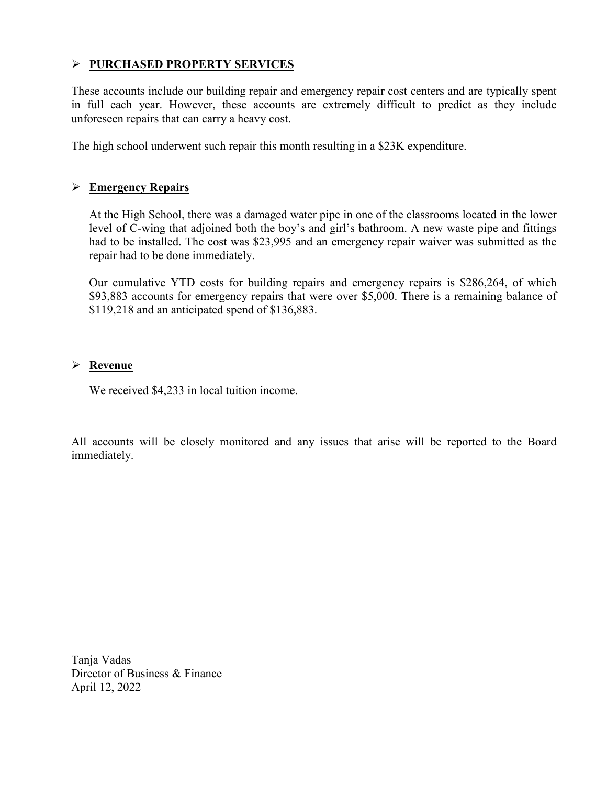### **PURCHASED PROPERTY SERVICES**

These accounts include our building repair and emergency repair cost centers and are typically spent in full each year. However, these accounts are extremely difficult to predict as they include unforeseen repairs that can carry a heavy cost.

The high school underwent such repair this month resulting in a \$23K expenditure.

### **Emergency Repairs**

At the High School, there was a damaged water pipe in one of the classrooms located in the lower level of C-wing that adjoined both the boy's and girl's bathroom. A new waste pipe and fittings had to be installed. The cost was \$23,995 and an emergency repair waiver was submitted as the repair had to be done immediately.

Our cumulative YTD costs for building repairs and emergency repairs is \$286,264, of which \$93,883 accounts for emergency repairs that were over \$5,000. There is a remaining balance of \$119,218 and an anticipated spend of \$136,883.

### **Revenue**

We received \$4,233 in local tuition income.

All accounts will be closely monitored and any issues that arise will be reported to the Board immediately.

Tanja Vadas Director of Business & Finance April 12, 2022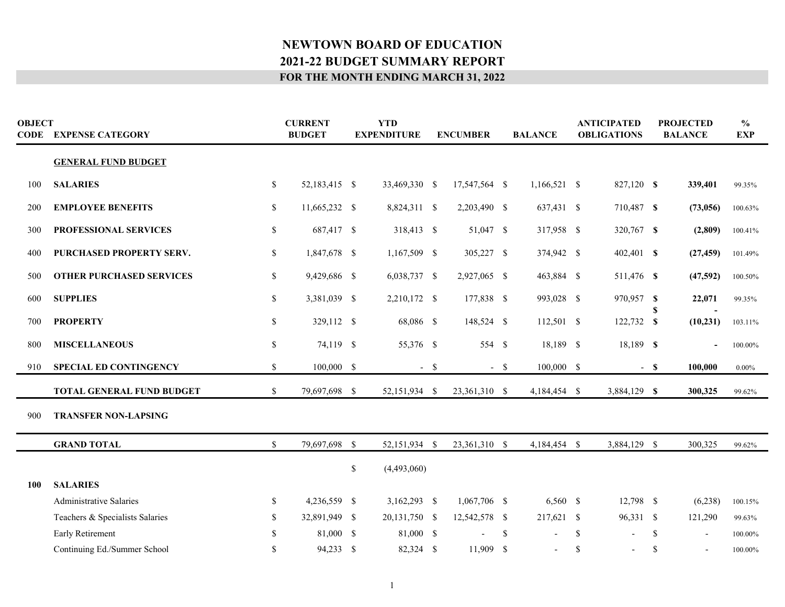| <b>OBJECT</b> | <b>CODE EXPENSE CATEGORY</b>    | <b>CURRENT</b><br><b>BUDGET</b> |               | <b>YTD</b><br><b>EXPENDITURE</b> |                | <b>ENCUMBER</b> |               |               | <b>BALANCE</b> | <b>ANTICIPATED</b><br><b>OBLIGATIONS</b> |              | <b>PROJECTED</b><br><b>BALANCE</b> |                          | $\frac{6}{6}$<br><b>EXP</b> |
|---------------|---------------------------------|---------------------------------|---------------|----------------------------------|----------------|-----------------|---------------|---------------|----------------|------------------------------------------|--------------|------------------------------------|--------------------------|-----------------------------|
|               | <b>GENERAL FUND BUDGET</b>      |                                 |               |                                  |                |                 |               |               |                |                                          |              |                                    |                          |                             |
| 100           | <b>SALARIES</b>                 | $\mathbb{S}$                    | 52,183,415 \$ |                                  | 33,469,330 \$  |                 | 17,547,564 \$ |               | $1,166,521$ \$ |                                          | 827,120 \$   |                                    | 339,401                  | 99.35%                      |
| 200           | <b>EMPLOYEE BENEFITS</b>        | \$                              | 11,665,232 \$ |                                  | 8,824,311 \$   |                 | 2,203,490 \$  |               | 637,431 \$     |                                          | 710,487 \$   |                                    | (73,056)                 | 100.63%                     |
| 300           | PROFESSIONAL SERVICES           | \$                              | 687,417 \$    |                                  | 318,413 \$     |                 | 51,047 \$     |               | 317,958 \$     |                                          | 320,767 \$   |                                    | (2,809)                  | 100.41%                     |
| 400           | PURCHASED PROPERTY SERV.        | \$                              | 1,847,678 \$  |                                  | 1,167,509 \$   |                 | 305,227 \$    |               | 374,942 \$     |                                          | 402,401 \$   |                                    | (27, 459)                | 101.49%                     |
| 500           | <b>OTHER PURCHASED SERVICES</b> | \$                              | 9,429,686 \$  |                                  | 6,038,737 \$   |                 | 2,927,065 \$  |               | 463,884 \$     |                                          | 511,476 \$   |                                    | (47,592)                 | 100.50%                     |
| 600           | <b>SUPPLIES</b>                 | \$                              | 3,381,039 \$  |                                  | 2,210,172 \$   |                 | 177,838 \$    |               | 993,028 \$     |                                          | 970,957 \$   |                                    | 22,071                   | 99.35%                      |
| 700           | <b>PROPERTY</b>                 | \$                              | 329,112 \$    |                                  | 68,086 \$      |                 | 148,524 \$    |               | 112,501 \$     |                                          | 122,732 \$   |                                    | (10, 231)                | 103.11%                     |
| 800           | <b>MISCELLANEOUS</b>            | $\mathbb{S}$                    | 74,119 \$     |                                  | 55,376 \$      |                 | 554 \$        |               | 18,189 \$      |                                          | 18,189 \$    |                                    |                          | 100.00%                     |
| 910           | <b>SPECIAL ED CONTINGENCY</b>   | $\mathbb{S}$                    | 100,000 \$    |                                  |                | $-$ \$          |               | $-$ \$        | 100,000 \$     |                                          |              | $-$ \$                             | 100,000                  | $0.00\%$                    |
|               | TOTAL GENERAL FUND BUDGET       | $\mathcal{S}$                   | 79,697,698 \$ |                                  | 52,151,934 \$  |                 | 23,361,310 \$ |               | 4,184,454 \$   |                                          | 3,884,129 \$ |                                    | 300,325                  | 99.62%                      |
| 900           | <b>TRANSFER NON-LAPSING</b>     |                                 |               |                                  |                |                 |               |               |                |                                          |              |                                    |                          |                             |
|               | <b>GRAND TOTAL</b>              | <sup>\$</sup>                   | 79,697,698 \$ |                                  | 52,151,934 \$  |                 | 23,361,310 \$ |               | 4,184,454 \$   |                                          | 3,884,129 \$ |                                    | 300,325                  | 99.62%                      |
|               |                                 |                                 |               | $\mathbb{S}$                     | (4,493,060)    |                 |               |               |                |                                          |              |                                    |                          |                             |
| 100           | <b>SALARIES</b>                 |                                 |               |                                  |                |                 |               |               |                |                                          |              |                                    |                          |                             |
|               | <b>Administrative Salaries</b>  | <sup>\$</sup>                   | 4,236,559 \$  |                                  | $3,162,293$ \$ |                 | 1,067,706 \$  |               | $6,560$ \$     |                                          | 12,798 \$    |                                    | (6,238)                  | 100.15%                     |
|               | Teachers & Specialists Salaries | \$                              | 32,891,949 \$ |                                  | 20,131,750 \$  |                 | 12,542,578 \$ |               | 217,621 \$     |                                          | 96,331 \$    |                                    | 121,290                  | 99.63%                      |
|               | Early Retirement                | \$                              | 81,000 \$     |                                  | 81,000 \$      |                 |               | <sup>\$</sup> |                | $\mathbf S$                              |              | <sup>\$</sup>                      | $\overline{\phantom{a}}$ | 100.00%                     |
|               | Continuing Ed./Summer School    | \$                              | 94,233 \$     |                                  | 82,324 \$      |                 | 11,909 \$     |               |                | \$                                       |              | S                                  |                          | 100.00%                     |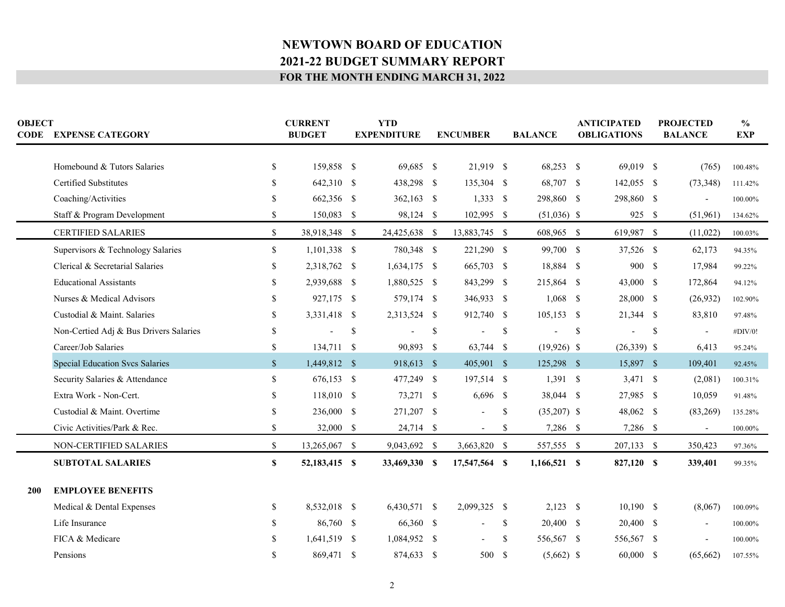| <b>OBJECT</b> | <b>CODE EXPENSE CATEGORY</b>           |               | <b>CURRENT</b><br><b>BUDGET</b> |              | <b>YTD</b><br><b>EXPENDITURE</b> |              | <b>ENCUMBER</b> |               | <b>BALANCE</b> |              | <b>ANTICIPATED</b><br><b>OBLIGATIONS</b> |               | <b>PROJECTED</b><br><b>BALANCE</b> | $\frac{6}{6}$<br><b>EXP</b> |
|---------------|----------------------------------------|---------------|---------------------------------|--------------|----------------------------------|--------------|-----------------|---------------|----------------|--------------|------------------------------------------|---------------|------------------------------------|-----------------------------|
|               |                                        |               |                                 |              |                                  |              | 21,919 \$       |               |                |              |                                          |               |                                    |                             |
|               | Homebound & Tutors Salaries            | \$            | 159,858 \$                      |              | 69,685 \$                        |              |                 |               | 68,253 \$      |              | 69,019 \$                                |               | (765)                              | 100.48%                     |
|               | <b>Certified Substitutes</b>           |               | 642,310 \$                      |              | 438,298 \$                       |              | 135,304 \$      |               | 68,707 \$      |              | 142,055 \$                               |               | (73, 348)                          | 111.42%                     |
|               | Coaching/Activities                    |               | 662,356 \$                      |              | $362,163$ \$                     |              | $1,333$ \$      |               | 298,860 \$     |              | 298,860 \$                               |               | $\overline{a}$                     | 100.00%                     |
|               | Staff & Program Development            | S.            | 150,083 \$                      |              | 98,124 \$                        |              | 102,995 \$      |               | $(51,036)$ \$  |              | 925 \$                                   |               | (51,961)                           | 134.62%                     |
|               | <b>CERTIFIED SALARIES</b>              | $\mathbb{S}$  | 38,918,348 \$                   |              | 24,425,638 \$                    |              | 13,883,745 \$   |               | 608,965 \$     |              | 619,987 \$                               |               | (11,022)                           | 100.03%                     |
|               | Supervisors & Technology Salaries      | $\mathbb{S}$  | $1,101,338$ \$                  |              | 780,348 \$                       |              | 221,290 \$      |               | 99,700 \$      |              | 37,526 \$                                |               | 62,173                             | 94.35%                      |
|               | Clerical & Secretarial Salaries        | \$.           | 2,318,762 \$                    |              | 1,634,175 \$                     |              | 665,703 \$      |               | 18,884 \$      |              | 900 \$                                   |               | 17,984                             | 99.22%                      |
|               | <b>Educational Assistants</b>          |               | 2,939,688 \$                    |              | 1,880,525 \$                     |              | 843,299 \$      |               | 215,864 \$     |              | 43,000 \$                                |               | 172,864                            | 94.12%                      |
|               | Nurses & Medical Advisors              | S.            | 927,175 \$                      |              | 579,174 \$                       |              | 346,933 \$      |               | $1,068$ \$     |              | 28,000 \$                                |               | (26,932)                           | 102.90%                     |
|               | Custodial & Maint. Salaries            | <sup>\$</sup> | 3,331,418 \$                    |              | 2,313,524 \$                     |              | 912,740 \$      |               | $105,153$ \$   |              | 21,344 \$                                |               | 83,810                             | 97.48%                      |
|               | Non-Certied Adj & Bus Drivers Salaries | <sup>\$</sup> |                                 | $\mathbb{S}$ |                                  | $\mathbb{S}$ |                 | \$            |                | $\mathbb{S}$ |                                          | <sup>\$</sup> | $\overline{\phantom{a}}$           | #DIV/0!                     |
|               | Career/Job Salaries                    | \$            | 134,711 \$                      |              | 90,893 \$                        |              | 63,744 \$       |               | $(19,926)$ \$  |              | $(26,339)$ \$                            |               | 6,413                              | 95.24%                      |
|               | <b>Special Education Svcs Salaries</b> | $\mathcal{S}$ | 1,449,812 \$                    |              | 918,613 \$                       |              | 405,901 \$      |               | 125,298 \$     |              | 15,897 \$                                |               | 109,401                            | 92.45%                      |
|               | Security Salaries & Attendance         | \$.           | 676,153 \$                      |              | 477,249 \$                       |              | 197,514 \$      |               | $1,391$ \$     |              | $3,471$ \$                               |               | (2,081)                            | $100.31\%$                  |
|               | Extra Work - Non-Cert.                 | <sup>\$</sup> | 118,010 \$                      |              | 73,271 \$                        |              | $6,696$ \$      |               | 38,044 \$      |              | 27,985 \$                                |               | 10,059                             | 91.48%                      |
|               | Custodial & Maint. Overtime            |               | 236,000 \$                      |              | 271,207 \$                       |              |                 | \$            | $(35,207)$ \$  |              | 48,062 \$                                |               | (83,269)                           | 135.28%                     |
|               | Civic Activities/Park & Rec.           | \$            | 32,000 \$                       |              | 24,714 \$                        |              | $\sim$          | \$            | 7,286 \$       |              | 7,286 \$                                 |               | $\overline{\phantom{a}}$           | 100.00%                     |
|               | NON-CERTIFIED SALARIES                 | \$            | 13,265,067 \$                   |              | 9,043,692 \$                     |              | 3,663,820 \$    |               | 557,555 \$     |              | 207,133 \$                               |               | 350,423                            | 97.36%                      |
|               | <b>SUBTOTAL SALARIES</b>               | S             | 52,183,415 \$                   |              | 33,469,330 \$                    |              | 17,547,564 \$   |               | $1,166,521$ \$ |              | 827,120 \$                               |               | 339,401                            | 99.35%                      |
| 200           | <b>EMPLOYEE BENEFITS</b>               |               |                                 |              |                                  |              |                 |               |                |              |                                          |               |                                    |                             |
|               | Medical & Dental Expenses              | S.            | 8,532,018 \$                    |              | 6,430,571 \$                     |              | 2,099,325 \$    |               | $2,123$ \$     |              | $10,190$ \$                              |               | (8,067)                            |                             |
|               |                                        |               |                                 |              |                                  |              |                 |               |                |              |                                          |               |                                    | 100.09%                     |
|               | Life Insurance                         | S.            | 86,760 \$                       |              | 66,360 \$                        |              |                 | \$            | 20,400 \$      |              | 20,400 \$                                |               |                                    | 100.00%                     |
|               | FICA & Medicare                        |               | 1,641,519 \$                    |              | 1,084,952 \$                     |              |                 | <sup>\$</sup> | 556,567 \$     |              | 556,567 \$                               |               |                                    | 100.00%                     |
|               | Pensions                               | <sup>\$</sup> | 869,471 \$                      |              | 874,633 \$                       |              | 500 \$          |               | $(5,662)$ \$   |              | $60,000$ \$                              |               | (65, 662)                          | 107.55%                     |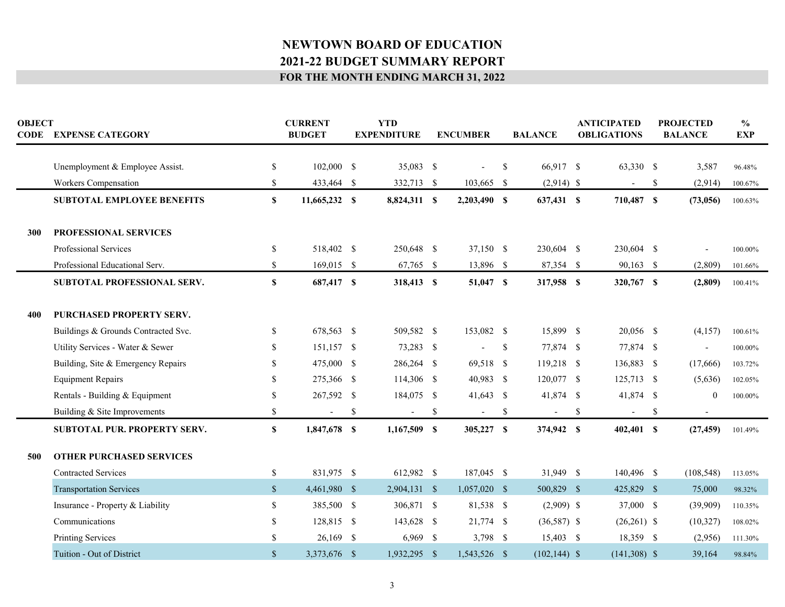| <b>OBJECT</b> | <b>CODE EXPENSE CATEGORY</b>        |               | <b>CURRENT</b><br><b>BUDGET</b> | <b>YTD</b><br><b>EXPENDITURE</b> | <b>ENCUMBER</b>                |              | <b>BALANCE</b>  | <b>ANTICIPATED</b><br><b>OBLIGATIONS</b> | <b>PROJECTED</b><br><b>BALANCE</b> | $\frac{0}{0}$<br><b>EXP</b> |
|---------------|-------------------------------------|---------------|---------------------------------|----------------------------------|--------------------------------|--------------|-----------------|------------------------------------------|------------------------------------|-----------------------------|
|               | Unemployment & Employee Assist.     | $\mathbb{S}$  | 102,000 \$                      | 35,083 \$                        |                                | S.           | 66,917 \$       | 63,330 \$                                | 3,587                              | 96.48%                      |
|               | Workers Compensation                | <sup>\$</sup> | 433,464 \$                      | 332,713 \$                       | 103,665 \$                     |              | $(2,914)$ \$    | $\blacksquare$                           | \$<br>(2,914)                      | 100.67%                     |
|               | <b>SUBTOTAL EMPLOYEE BENEFITS</b>   | $\mathbf S$   | 11,665,232 \$                   | 8,824,311 \$                     | 2,203,490 \$                   |              | 637,431 \$      | 710,487 \$                               | (73,056)                           | 100.63%                     |
| 300           | PROFESSIONAL SERVICES               |               |                                 |                                  |                                |              |                 |                                          |                                    |                             |
|               | Professional Services               | \$            | 518,402 \$                      | 250,648 \$                       | 37,150 \$                      |              | 230,604 \$      | 230,604 \$                               |                                    | 100.00%                     |
|               | Professional Educational Serv.      | \$            | 169,015 \$                      | 67,765 \$                        | 13,896 \$                      |              | 87,354 \$       | 90,163 \$                                | (2,809)                            | 101.66%                     |
|               | SUBTOTAL PROFESSIONAL SERV.         | $\mathbf S$   | 687,417 \$                      | 318,413 \$                       | 51,047 \$                      |              | 317,958 \$      | 320,767 \$                               | (2,809)                            | 100.41%                     |
|               |                                     |               |                                 |                                  |                                |              |                 |                                          |                                    |                             |
| 400           | PURCHASED PROPERTY SERV.            |               |                                 |                                  |                                |              |                 |                                          |                                    |                             |
|               | Buildings & Grounds Contracted Svc. | \$            | 678,563 \$                      | 509,582 \$                       | 153,082 \$                     |              | 15,899 \$       | 20,056 \$                                | (4,157)                            | 100.61%                     |
|               | Utility Services - Water & Sewer    | <sup>\$</sup> | $151,157$ \$                    | 73,283 \$                        | L,                             | $\mathbb{S}$ | 77,874 \$       | 77,874 \$                                | $\blacksquare$                     | 100.00%                     |
|               | Building, Site & Emergency Repairs  | $\mathcal{S}$ | 475,000 \$                      | 286,264 \$                       | 69,518 \$                      |              | 119,218 \$      | 136,883 \$                               | (17,666)                           | 103.72%                     |
|               | <b>Equipment Repairs</b>            | <sup>\$</sup> | 275,366 \$                      | 114,306 \$                       | 40,983 \$                      |              | 120,077 \$      | 125,713 \$                               | (5,636)                            | 102.05%                     |
|               | Rentals - Building & Equipment      | \$            | 267,592 \$                      | 184,075 \$                       | 41,643 \$                      |              | 41,874 \$       | 41,874 \$                                | $\overline{0}$                     | 100.00%                     |
|               | Building & Site Improvements        | $\mathbb{S}$  | $\blacksquare$                  | \$                               | \$<br>$\overline{\phantom{a}}$ | \$           |                 | \$                                       | \$                                 |                             |
|               | <b>SUBTOTAL PUR. PROPERTY SERV.</b> | $\mathbf{s}$  | 1,847,678 \$                    | $1,167,509$ \$                   | 305,227 \$                     |              | 374,942 \$      | $402,401$ \$                             | (27, 459)                          | 101.49%                     |
|               |                                     |               |                                 |                                  |                                |              |                 |                                          |                                    |                             |
| 500           | <b>OTHER PURCHASED SERVICES</b>     |               |                                 |                                  |                                |              |                 |                                          |                                    |                             |
|               | <b>Contracted Services</b>          | $\mathbb{S}$  | 831,975 \$                      | 612,982 \$                       | 187,045 \$                     |              | 31,949 \$       | 140,496 \$                               | (108, 548)                         | 113.05%                     |
|               | <b>Transportation Services</b>      | $\mathbb{S}$  | 4,461,980 \$                    | $2,904,131$ \$                   | $1,057,020$ \$                 |              | 500,829 \$      | 425,829 \$                               | 75,000                             | 98.32%                      |
|               | Insurance - Property & Liability    | $\mathbb{S}$  | 385,500 \$                      | 306,871 \$                       | 81,538 \$                      |              | $(2,909)$ \$    | 37,000 \$                                | (39,909)                           | 110.35%                     |
|               | Communications                      | <sup>\$</sup> | 128,815 \$                      | 143,628 \$                       | 21,774 \$                      |              | $(36,587)$ \$   | $(26,261)$ \$                            | (10,327)                           | 108.02%                     |
|               | <b>Printing Services</b>            | <sup>\$</sup> | $26,169$ \$                     | $6,969$ \$                       | 3,798 $\frac{1}{2}$            |              | 15,403 \$       | 18,359 \$                                | (2,956)                            | 111.30%                     |
|               | Tuition - Out of District           | $\mathbf{s}$  | 3,373,676 \$                    | 1,932,295 \$                     | 1,543,526 \$                   |              | $(102, 144)$ \$ | $(141,308)$ \$                           | 39,164                             | 98.84%                      |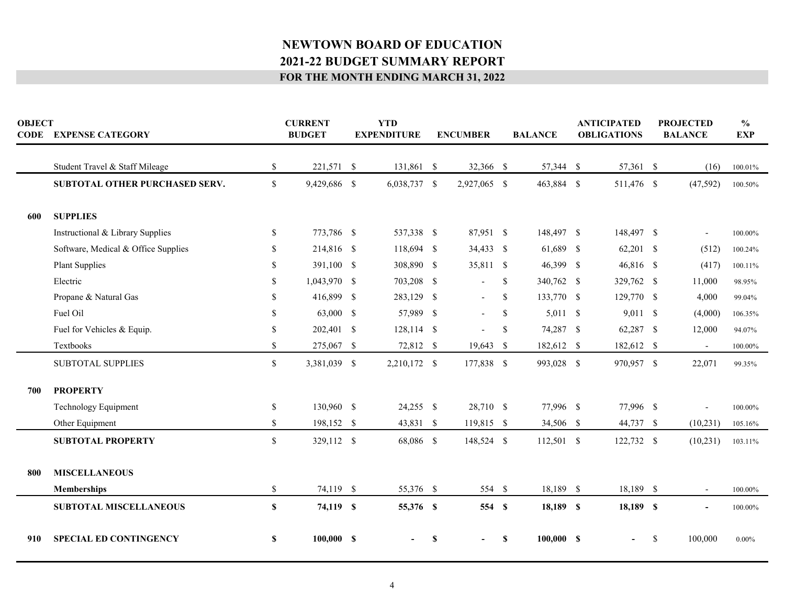| <b>OBJECT</b> | <b>CODE EXPENSE CATEGORY</b>        |               | <b>CURRENT</b><br><b>BUDGET</b> | <b>YTD</b><br><b>EXPENDITURE</b> |   | <b>ENCUMBER</b>          |               | <b>BALANCE</b> |              | <b>ANTICIPATED</b><br><b>OBLIGATIONS</b> |              | <b>PROJECTED</b><br><b>BALANCE</b> | $\frac{6}{9}$<br><b>EXP</b> |
|---------------|-------------------------------------|---------------|---------------------------------|----------------------------------|---|--------------------------|---------------|----------------|--------------|------------------------------------------|--------------|------------------------------------|-----------------------------|
|               | Student Travel & Staff Mileage      | \$            | 221,571 \$                      | 131,861 \$                       |   | 32,366 \$                |               | 57,344         | $\mathbb{S}$ | 57,361 \$                                |              | (16)                               | $100.01\%$                  |
|               | SUBTOTAL OTHER PURCHASED SERV.      | $\mathbb{S}$  | 9,429,686 \$                    | 6,038,737 \$                     |   | 2,927,065 \$             |               | 463,884 \$     |              | 511,476 \$                               |              | (47, 592)                          | 100.50%                     |
| 600           | <b>SUPPLIES</b>                     |               |                                 |                                  |   |                          |               |                |              |                                          |              |                                    |                             |
|               | Instructional & Library Supplies    | <sup>\$</sup> | 773,786 \$                      | 537,338 \$                       |   | 87,951 \$                |               | 148,497 \$     |              | 148,497 \$                               |              |                                    | 100.00%                     |
|               | Software, Medical & Office Supplies | \$.           | 214,816 \$                      | 118,694 \$                       |   | 34,433 \$                |               | 61,689 \$      |              | 62,201 \$                                |              | (512)                              | 100.24%                     |
|               | <b>Plant Supplies</b>               | \$            | 391,100 \$                      | 308,890 \$                       |   | 35,811 \$                |               | 46,399 \$      |              | 46,816 \$                                |              | (417)                              | 100.11%                     |
|               | Electric                            | \$.           | 1,043,970 \$                    | 703,208 \$                       |   | $\overline{\phantom{a}}$ | <sup>\$</sup> | 340,762 \$     |              | 329,762 \$                               |              | 11,000                             | 98.95%                      |
|               | Propane & Natural Gas               | \$            | 416,899 \$                      | 283,129 \$                       |   |                          | \$            | 133,770 \$     |              | 129,770 \$                               |              | 4,000                              | 99.04%                      |
|               | Fuel Oil                            | \$            | 63,000 \$                       | 57,989 \$                        |   | $\sim$                   | \$            | $5,011$ \$     |              | 9,011 \$                                 |              | (4,000)                            | 106.35%                     |
|               | Fuel for Vehicles & Equip.          | \$            | 202,401 \$                      | 128,114 \$                       |   | $\blacksquare$           | \$            | 74,287 \$      |              | 62,287 \$                                |              | 12,000                             | 94.07%                      |
|               | Textbooks                           | \$            | 275,067 \$                      | 72,812 \$                        |   | 19,643 \$                |               | 182,612 \$     |              | 182,612 \$                               |              | $\overline{\phantom{a}}$           | 100.00%                     |
|               | <b>SUBTOTAL SUPPLIES</b>            | $\mathcal{S}$ | 3,381,039 \$                    | 2,210,172 \$                     |   | 177,838 \$               |               | 993,028 \$     |              | 970,957 \$                               |              | 22,071                             | 99.35%                      |
| 700           | <b>PROPERTY</b>                     |               |                                 |                                  |   |                          |               |                |              |                                          |              |                                    |                             |
|               | Technology Equipment                | \$            | 130,960 \$                      | $24,255$ \$                      |   | 28,710 \$                |               | 77,996 \$      |              | 77,996 \$                                |              |                                    | 100.00%                     |
|               | Other Equipment                     | \$            | 198,152 \$                      | 43,831 \$                        |   | 119,815 \$               |               | 34,506 \$      |              | 44,737 \$                                |              | (10, 231)                          | 105.16%                     |
|               | <b>SUBTOTAL PROPERTY</b>            | \$            | 329,112 \$                      | 68,086 \$                        |   | 148,524 \$               |               | 112,501 \$     |              | 122,732 \$                               |              | (10, 231)                          | 103.11%                     |
| 800           | <b>MISCELLANEOUS</b>                |               |                                 |                                  |   |                          |               |                |              |                                          |              |                                    |                             |
|               | Memberships                         | \$            | 74,119 \$                       | 55,376 \$                        |   | 554 \$                   |               | 18,189 \$      |              | 18,189 \$                                |              |                                    | 100.00%                     |
|               | <b>SUBTOTAL MISCELLANEOUS</b>       | S             | 74,119 \$                       | 55,376 \$                        |   | 554 \$                   |               | 18,189 \$      |              | 18,189 \$                                |              |                                    | 100.00%                     |
| 910           | <b>SPECIAL ED CONTINGENCY</b>       | S             | 100,000 S                       |                                  | S |                          | \$            | 100,000 S      |              | $\blacksquare$                           | $\mathbb{S}$ | 100,000                            | $0.00\%$                    |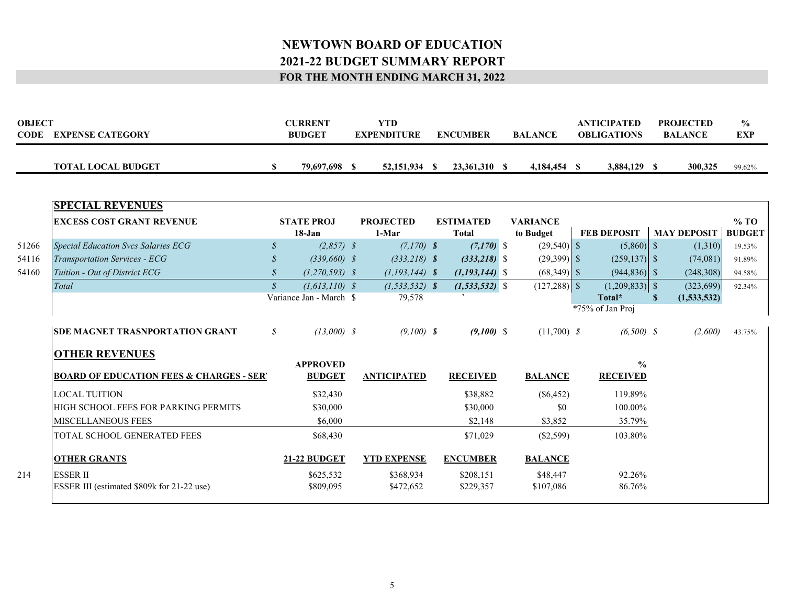| <b>OBJECT</b><br><b>CODE</b><br><b>EXPENSE CATEGORY</b> |  | CURRENT<br><b>BUDGET</b> | YTD.<br><b>EXPENDITURE</b> | <b>ENCUMBER</b> | <b>BALANCE</b> | <b>ANTICIPATED</b><br><b>OBLIGATIONS</b> | <b>PROJECTED</b><br><b>BALANCE</b> | $\frac{0}{0}$<br><b>EXP</b> |
|---------------------------------------------------------|--|--------------------------|----------------------------|-----------------|----------------|------------------------------------------|------------------------------------|-----------------------------|
| <b>TOTAL LOCAL BUDGET</b>                               |  | 79,697,698               | 52,151,934                 | 23.361.310      | 4,184,454      | 3,884,129                                | 300.325                            | 99.62%                      |

| <b>EXCESS COST GRANT REVENUE</b>           |                                                                                                                   | $18 - Jan$                                          | <b>PROJECTED</b><br>1-Mar                                   |                                                                                                                      | <b>ESTIMATED</b><br>Total                                                    |                                                                                            | <b>VARIANCE</b><br>to Budget       |                                                                                          |                                                                                                                                                      |                                                                                                 |                                                                                                                                           | $\%$ TO<br><b>BUDGET</b>          |
|--------------------------------------------|-------------------------------------------------------------------------------------------------------------------|-----------------------------------------------------|-------------------------------------------------------------|----------------------------------------------------------------------------------------------------------------------|------------------------------------------------------------------------------|--------------------------------------------------------------------------------------------|------------------------------------|------------------------------------------------------------------------------------------|------------------------------------------------------------------------------------------------------------------------------------------------------|-------------------------------------------------------------------------------------------------|-------------------------------------------------------------------------------------------------------------------------------------------|-----------------------------------|
| <b>Special Education Svcs Salaries ECG</b> | $\mathcal{S}$                                                                                                     |                                                     |                                                             |                                                                                                                      |                                                                              |                                                                                            |                                    |                                                                                          |                                                                                                                                                      |                                                                                                 | (1,310)                                                                                                                                   | 19.53%                            |
| <b>Transportation Services - ECG</b>       | $\mathcal{S}$                                                                                                     |                                                     |                                                             |                                                                                                                      |                                                                              |                                                                                            |                                    |                                                                                          |                                                                                                                                                      |                                                                                                 | (74,081)                                                                                                                                  | 91.89%                            |
| Tuition - Out of District ECG              |                                                                                                                   |                                                     |                                                             |                                                                                                                      |                                                                              |                                                                                            |                                    |                                                                                          |                                                                                                                                                      |                                                                                                 | (248, 308)                                                                                                                                | 94.58%                            |
| Total                                      | $\mathcal{S}$                                                                                                     |                                                     |                                                             |                                                                                                                      |                                                                              |                                                                                            |                                    |                                                                                          |                                                                                                                                                      |                                                                                                 | (323, 699)                                                                                                                                | 92.34%                            |
|                                            |                                                                                                                   |                                                     |                                                             |                                                                                                                      |                                                                              |                                                                                            |                                    |                                                                                          |                                                                                                                                                      |                                                                                                 |                                                                                                                                           |                                   |
|                                            |                                                                                                                   |                                                     |                                                             |                                                                                                                      |                                                                              |                                                                                            |                                    |                                                                                          |                                                                                                                                                      |                                                                                                 |                                                                                                                                           |                                   |
|                                            | $\mathcal{S}$                                                                                                     |                                                     |                                                             |                                                                                                                      |                                                                              |                                                                                            |                                    |                                                                                          |                                                                                                                                                      |                                                                                                 | (2,600)                                                                                                                                   | 43.75%                            |
|                                            |                                                                                                                   |                                                     |                                                             |                                                                                                                      |                                                                              |                                                                                            |                                    |                                                                                          |                                                                                                                                                      |                                                                                                 |                                                                                                                                           |                                   |
|                                            |                                                                                                                   | <b>BUDGET</b>                                       |                                                             |                                                                                                                      |                                                                              |                                                                                            |                                    |                                                                                          |                                                                                                                                                      |                                                                                                 |                                                                                                                                           |                                   |
| <b>LOCAL TUITION</b>                       |                                                                                                                   | \$32,430                                            |                                                             |                                                                                                                      | \$38,882                                                                     |                                                                                            |                                    |                                                                                          |                                                                                                                                                      |                                                                                                 |                                                                                                                                           |                                   |
| HIGH SCHOOL FEES FOR PARKING PERMITS       |                                                                                                                   | \$30,000                                            |                                                             |                                                                                                                      | \$30,000                                                                     |                                                                                            | \$0                                |                                                                                          |                                                                                                                                                      |                                                                                                 |                                                                                                                                           |                                   |
| <b>MISCELLANEOUS FEES</b>                  |                                                                                                                   | \$6,000                                             |                                                             |                                                                                                                      | \$2,148                                                                      |                                                                                            | \$3,852                            |                                                                                          |                                                                                                                                                      |                                                                                                 |                                                                                                                                           |                                   |
| TOTAL SCHOOL GENERATED FEES                |                                                                                                                   | \$68,430                                            |                                                             |                                                                                                                      | \$71,029                                                                     |                                                                                            |                                    |                                                                                          |                                                                                                                                                      |                                                                                                 |                                                                                                                                           |                                   |
|                                            |                                                                                                                   |                                                     |                                                             |                                                                                                                      |                                                                              |                                                                                            |                                    |                                                                                          |                                                                                                                                                      |                                                                                                 |                                                                                                                                           |                                   |
| <b>ESSER II</b>                            |                                                                                                                   | \$625,532                                           |                                                             |                                                                                                                      | \$208,151                                                                    |                                                                                            | \$48,447                           |                                                                                          |                                                                                                                                                      |                                                                                                 |                                                                                                                                           |                                   |
| ESSER III (estimated \$809k for 21-22 use) |                                                                                                                   | \$809,095                                           |                                                             |                                                                                                                      | \$229,357                                                                    |                                                                                            | \$107,086                          |                                                                                          |                                                                                                                                                      |                                                                                                 |                                                                                                                                           |                                   |
|                                            | <b>SPECIAL REVENUES</b><br><b>SDE MAGNET TRASNPORTATION GRANT</b><br><b>OTHER REVENUES</b><br><b>OTHER GRANTS</b> | <b>BOARD OF EDUCATION FEES &amp; CHARGES - SERY</b> | <b>STATE PROJ</b><br><b>APPROVED</b><br><b>21-22 BUDGET</b> | $(2,857)$ \$<br>$(339,660)$ \$<br>$(1,270,593)$ \$<br>$(1, 613, 110)$ \$<br>Variance Jan - March \$<br>$(13,000)$ \$ | 79,578<br><b>ANTICIPATED</b><br><b>YTD EXPENSE</b><br>\$368,934<br>\$472,652 | $(7,170)$ \$<br>$(333,218)$ \$<br>$(1, 193, 144)$ \$<br>$(1, 533, 532)$ \$<br>$(9,100)$ \$ | <b>RECEIVED</b><br><b>ENCUMBER</b> | $(7,170)$ \$<br>$(333,218)$ \$<br>$(1,193,144)$ \$<br>$(1, 533, 532)$ \$<br>$(9,100)$ \$ | $(29,540)$ \$<br>$(29,399)$ \$<br>$(68,349)$ \$<br>$(127,288)$ \$<br>$(11,700)$ \$<br><b>BALANCE</b><br>$(\$6,452)$<br>$(\$2,599)$<br><b>BALANCE</b> | <b>FEB DEPOSIT</b><br>Total*<br>*75% of Jan Proj<br>$\frac{0}{0}$<br><b>RECEIVED</b><br>103.80% | $(5,860)$ \$<br>$(259, 137)$ \$<br>$(944,836)$ \$<br>$(1,209,833)$ \$<br>$(6,500)$ \$<br>119.89%<br>100.00%<br>35.79%<br>92.26%<br>86.76% | <b>MAY DEPOSIT</b><br>(1,533,532) |